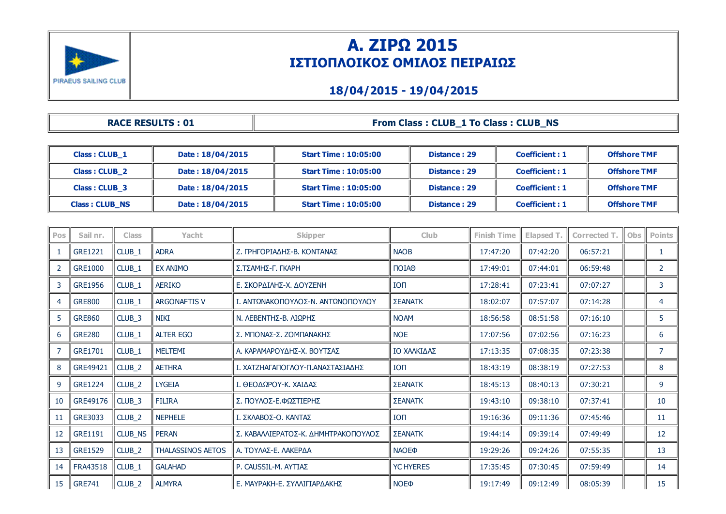

### Α. ΖΙΡΩ 2015 ΙΣΤΙΟΠΛΟΙΚΟΣ ΟΜΙΛΟΣ ΠΕΙΡΑΙΩΣ

#### 18/04/2015 19/04/2015

|                      | <b>RACE RESULTS: 01</b> |                              | <b>From Class: CLUB 1 To Class: CLUB NS</b> |                       |                     |
|----------------------|-------------------------|------------------------------|---------------------------------------------|-----------------------|---------------------|
|                      |                         |                              |                                             |                       |                     |
| Class: CLUB 1        | Date: 18/04/2015        | <b>Start Time: 10:05:00</b>  | Distance: 29                                | <b>Coefficient: 1</b> | <b>Offshore TMF</b> |
| <b>Class: CLUB 2</b> | Date: 18/04/2015        | <b>Start Time: 10:05:00</b>  | Distance: 29                                | Coefficient: 1        | <b>Offshore TMF</b> |
| <b>Class: CLUB 3</b> | Date: 18/04/2015        | <b>Start Time : 10:05:00</b> | Distance: 29                                | <b>Coefficient: 1</b> | <b>Offshore TMF</b> |

Class : CLUB\_NS Date : 18/04/2015 Start Time : 10:05:00 Distance : 29 Coefficient : 1 Offshore TMF

| Pos | Sail nr.        | <b>Class</b>      | Yacht                    | <b>Skipper</b>                      | <b>Club</b>            | <b>Finish Time</b> | Elapsed T. | Corrected T. | <b>Obs</b> | <b>Points</b>  |
|-----|-----------------|-------------------|--------------------------|-------------------------------------|------------------------|--------------------|------------|--------------|------------|----------------|
| -1  | <b>GRE1221</b>  | CLUB_1            | <b>ADRA</b>              | Ζ. ΓΡΗΓΟΡΙΑΔΗΣ-Β. ΚΟΝΤΑΝΑΣ          | <b>NAOB</b>            | 17:47:20           | 07:42:20   | 06:57:21     |            | 1              |
| 2   | <b>GRE1000</b>  | $CLUB_1$          | <b>EX ANIMO</b>          | Σ.ΤΣΑΜΗΣ-Γ. ΓΚΑΡΗ                   | $\Box$                 | 17:49:01           | 07:44:01   | 06:59:48     |            | $\overline{2}$ |
| 3   | <b>GRE1956</b>  | CLUB_1            | <b>AERIKO</b>            | Ε. ΣΚΟΡΔΙΛΗΣ-Χ. ΔΟΥΖΕΝΗ             | <b>ION</b>             | 17:28:41           | 07:23:41   | 07:07:27     |            | 3              |
| 4   | <b>GRE800</b>   | CLUB_1            | <b>ARGONAFTIS V</b>      | Ι. ΑΝΤΩΝΑΚΟΠΟΥΛΟΣ-Ν. ΑΝΤΩΝΟΠΟΥΛΟΥ   | <b>ΣΕΑΝΑΤΚ</b>         | 18:02:07           | 07:57:07   | 07:14:28     |            | 4              |
| 5   | <b>GRE860</b>   | CLUB_3            | <b>NIKI</b>              | Ν. ΛΕΒΕΝΤΗΣ-Β. ΛΙΩΡΗΣ               | <b>NOAM</b>            | 18:56:58           | 08:51:58   | 07:16:10     |            | 5 <sup>5</sup> |
| 6   | <b>GRE280</b>   | CLUB_1            | <b>ALTER EGO</b>         | Σ. ΜΠΟΝΑΣ-Σ. ΖΟΜΠΑΝΑΚΗΣ             | <b>NOE</b>             | 17:07:56           | 07:02:56   | 07:16:23     |            | 6              |
| 7   | <b>GRE1701</b>  | CLUB_1            | <b>MELTEMI</b>           | Α. ΚΑΡΑΜΑΡΟΥΔΗΣ-Χ. ΒΟΥΤΣΑΣ          | ΙΟ ΧΑΛΚΙΔΑΣ            | 17:13:35           | 07:08:35   | 07:23:38     |            | 7              |
| 8   | GRE49421        | CLUB_2            | <b>AETHRA</b>            | Ι. ΧΑΤΖΗΑΓΑΠΟΓΛΟΥ-Π.ΑΝΑΣΤΑΣΙΑΔΗΣ    | <b>ION</b>             | 18:43:19           | 08:38:19   | 07:27:53     |            | 8              |
| 9   | <b>GRE1224</b>  | CLUB <sub>2</sub> | <b>LYGEIA</b>            | Ι. ΘΕΟΛΟΡΟΥ-Κ. ΧΑΙΛΑΣ               | <b>ΣΕΑΝΑΤΚ</b>         | 18:45:13           | 08:40:13   | 07:30:21     |            | 9              |
| 10  | GRE49176        | CLUB_3            | <b>FILIRA</b>            | Σ. ΠΟΥΛΟΣ-Ε.ΦΩΣΤΙΕΡΗΣ               | <b>ΣΕΑΝΑΤΚ</b>         | 19:43:10           | 09:38:10   | 07:37:41     |            | 10             |
| 11  | GRE3033         | CLUB <sub>2</sub> | <b>NEPHELE</b>           | Ι. ΣΚΛΑΒΟΣ-Ο. ΚΑΝΤΑΣ                | <b>ION</b>             | 19:16:36           | 09:11:36   | 07:45:46     |            | 11             |
| 12  | <b>GRE1191</b>  | CLUB_NS           | PERAN                    | Σ. ΚΑΒΑΛΛΙΕΡΑΤΟΣ-Κ. ΔΗΜΗΤΡΑΚΟΠΟΥΛΟΣ | <b>ΣΕΑΝΑΤΚ</b>         | 19:44:14           | 09:39:14   | 07:49:49     |            | 12             |
| 13  | <b>GRE1529</b>  | CLUB_2            | <b>THALASSINOS AETOS</b> | Α. ΤΟΥΛΑΣ-Ε. ΛΑΚΕΡΔΑ                | <b>NAOE®</b>           | 19:29:26           | 09:24:26   | 07:55:35     |            | 13             |
| 14  | <b>FRA43518</b> | CLUB_1            | <b>GALAHAD</b>           | P. CAUSSIL-M. AYTIAZ                | <b>YC HYERES</b>       | 17:35:45           | 07:30:45   | 07:59:49     |            | 14             |
| 15  | <b>GRE741</b>   | $CLUB_2$          | <b>ALMYRA</b>            | Ε. ΜΑΥΡΑΚΗ-Ε. ΣΥΛΛΙΓΙΑΡΔΑΚΗΣ        | <b>NOE</b> <sup></sup> | 19:17:49           | 09:12:49   | 08:05:39     |            | 15             |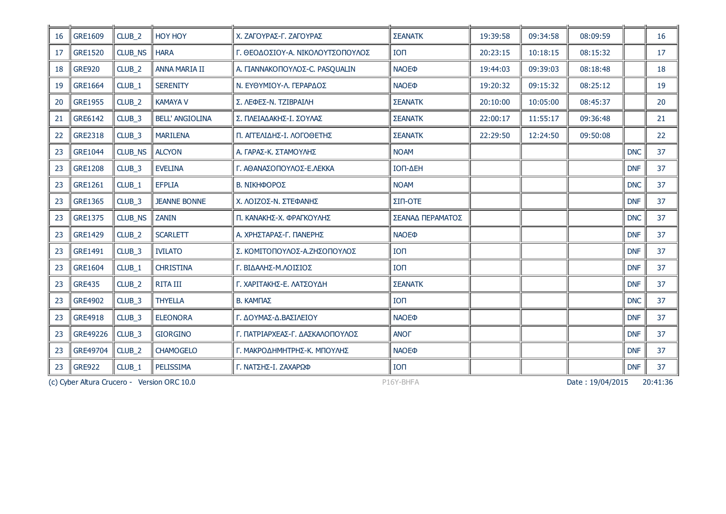| <b>16</b> | GRE1609        | CLUB <sub>2</sub> | HOY HOY                                     | Χ. ΖΑΓΟΥΡΑΣ-Γ. ΖΑΓΟΥΡΑΣ          | <b>ΣΕΑΝΑΤΚ</b>   | 19:39:58 | 09:34:58 | 08:09:59         |            | 16       |
|-----------|----------------|-------------------|---------------------------------------------|----------------------------------|------------------|----------|----------|------------------|------------|----------|
| 17        | <b>GRE1520</b> | CLUB_NS           | <b>HARA</b>                                 | Γ. ΘΕΟΔΟΣΙΟΥ-Α. ΝΙΚΟΛΟΥΤΣΟΠΟΥΛΟΣ | <b>ION</b>       | 20:23:15 | 10:18:15 | 08:15:32         |            | 17       |
| 18        | <b>GRE920</b>  | CLUB <sub>2</sub> | <b>ANNA MARIA II</b>                        | Α. ΓΙΑΝΝΑΚΟΠΟΥΛΟΣ-C. PASQUALIN   | <b>NAOE®</b>     | 19:44:03 | 09:39:03 | 08:18:48         |            | 18       |
| 19        | <b>GRE1664</b> | CLUB_1            | <b>SERENITY</b>                             | Ν. ΕΥΘΥΜΙΟΥ-Λ. ΓΕΡΑΡΔΟΣ          | <b>NAOE®</b>     | 19:20:32 | 09:15:32 | 08:25:12         |            | 19       |
| 20        | <b>GRE1955</b> | CLUB <sub>2</sub> | <b>KAMAYA V</b>                             | Σ. ΛΕΦΕΣ-Ν. ΤΖΙΒΡΑΙΛΗ            | <b>ΣΕΑΝΑΤΚ</b>   | 20:10:00 | 10:05:00 | 08:45:37         |            | 20       |
| 21        | GRE6142        | CLUB_3            | <b>BELL' ANGIOLINA</b>                      | Σ. ΠΛΕΙΑΔΑΚΗΣ-Ι. ΣΟΥΛΑΣ          | <b>ΣΕΑΝΑΤΚ</b>   | 22:00:17 | 11:55:17 | 09:36:48         |            | 21       |
| 22        | <b>GRE2318</b> | CLUB_3            | <b>MARILENA</b>                             | Π. ΑΓΓΕΛΙΔΗΣ-Ι. ΛΟΓΟΘΕΤΗΣ        | <b>ΣΕΑΝΑΤΚ</b>   | 22:29:50 | 12:24:50 | 09:50:08         |            | 22       |
| 23        | <b>GRE1044</b> | <b>CLUB NS</b>    | <b>ALCYON</b>                               | Α. ΓΑΡΑΣ-Κ. ΣΤΑΜΟΥΛΗΣ            | <b>NOAM</b>      |          |          |                  | <b>DNC</b> | 37       |
| 23        | <b>GRE1208</b> | CLUB_3            | <b>EVELINA</b>                              | Γ. ΑΘΑΝΑΣΟΠΟΥΛΟΣ-Ε.ΛΕΚΚΑ         | ΙΟΠ-ΔΕΗ          |          |          |                  | <b>DNF</b> | 37       |
| 23        | GRE1261        | $CLUB_1$          | <b>EFPLIA</b>                               | Β. ΝΙΚΗΦΟΡΟΣ                     | <b>NOAM</b>      |          |          |                  | <b>DNC</b> | 37       |
| 23        | <b>GRE1365</b> | CLUB_3            | <b>JEANNE BONNE</b>                         | Χ. ΛΟΙΖΟΣ-Ν. ΣΤΕΦΑΝΗΣ            | ΣΙΠ-ΟΤΕ          |          |          |                  | <b>DNF</b> | 37       |
| 23        | <b>GRE1375</b> | <b>CLUB NS</b>    | <b>ZANIN</b>                                | Π. ΚΑΝΑΚΗΣ-Χ. ΦΡΑΓΚΟΥΛΗΣ         | ΣΕΑΝΑΔ ΠΕΡΑΜΑΤΟΣ |          |          |                  | <b>DNC</b> | 37       |
| 23        | <b>GRE1429</b> | CLUB <sub>2</sub> | <b>SCARLETT</b>                             | Α. ΧΡΗΣΤΑΡΑΣ-Γ. ΠΑΝΕΡΗΣ          | <b>NAOE®</b>     |          |          |                  | <b>DNF</b> | 37       |
| 23        | GRE1491        | $CLUB_3$          | <b>IVILATO</b>                              | Σ. ΚΟΜΙΤΟΠΟΥΛΟΣ-Α.ΖΗΣΟΠΟΥΛΟΣ     | <b>TON</b>       |          |          |                  | <b>DNF</b> | 37       |
| 23        | GRE1604        | CLUB_1            | <b>CHRISTINA</b>                            | Γ. ΒΙΔΑΛΗΣ-Μ.ΛΟΙΣΙΟΣ             | <b>ION</b>       |          |          |                  | <b>DNF</b> | 37       |
| 23        | <b>GRE435</b>  | CLUB <sub>2</sub> | <b>RITA III</b>                             | Γ. ΧΑΡΙΤΑΚΗΣ-Ε. ΛΑΤΣΟΥΔΗ         | <b>ΣΕΑΝΑΤΚ</b>   |          |          |                  | <b>DNF</b> | 37       |
| 23        | <b>GRE4902</b> | CLUB_3            | <b>THYELLA</b>                              | В. КАМПАΣ                        | <b>ION</b>       |          |          |                  | <b>DNC</b> | 37       |
| 23        | <b>GRE4918</b> | CLUB_3            | <b>ELEONORA</b>                             | Γ. ΔΟΥΜΑΣ-Δ.ΒΑΣΙΛΕΙΟΥ            | <b>NAOE®</b>     |          |          |                  | <b>DNF</b> | 37       |
| 23        | GRE49226       | $CLUB_3$          | <b>GIORGINO</b>                             | Γ. ΠΑΤΡΙΑΡΧΕΑΣ-Γ. ΔΑΣΚΑΛΟΠΟΥΛΟΣ  | <b>ANOF</b>      |          |          |                  | <b>DNF</b> | 37       |
| 23        | GRE49704       | CLUB <sub>2</sub> | <b>CHAMOGELO</b>                            | Γ. ΜΑΚΡΟΔΗΜΗΤΡΗΣ-Κ. ΜΠΟΥΛΗΣ      | <b>NAOE®</b>     |          |          |                  | <b>DNF</b> | 37       |
| 23        | <b>GRE922</b>  | CLUB_1            | PELISSIMA                                   | Γ. ΝΑΤΣΗΣ-Ι. ΖΑΧΑΡΩΦ             | <b>ION</b>       |          |          |                  | <b>DNF</b> | 37       |
|           |                |                   | (c) Cyber Altura Crucero - Version ORC 10.0 |                                  | P16Y-BHFA        |          |          | Date: 19/04/2015 |            | 20:41:36 |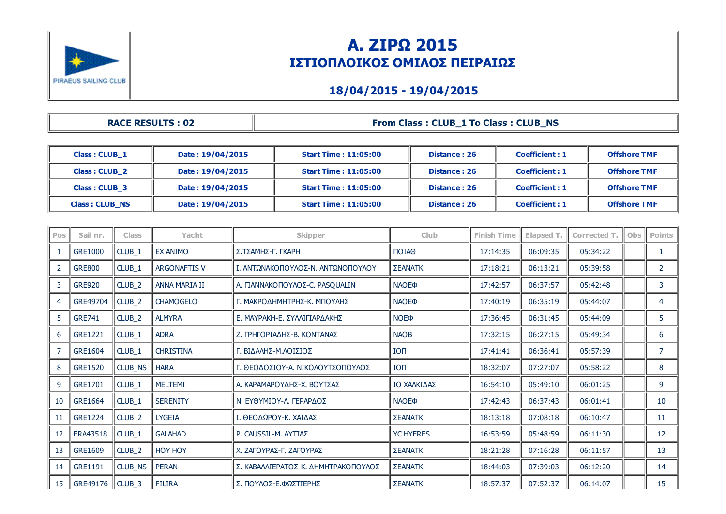

# Α. ΖΙΡΩ 2015 ΙΣΤΙΟΠΛΟΙΚΟΣ ΟΜΙΛΟΣ ΠΕΙΡΑΙΩΣ

### 18/04/2015 19/04/2015

| <b>RACE RESULTS: 02</b> | From Class: CLUB_1 To Class: CLUB_NS |
|-------------------------|--------------------------------------|
|                         |                                      |

| Class: CLUB 1         | Date: 19/04/2015 | <b>Start Time: 11:05:00</b> | Distance: 26 | <b>Coefficient: 1</b> | <b>Offshore TMF</b> |
|-----------------------|------------------|-----------------------------|--------------|-----------------------|---------------------|
| <b>Class: CLUB 2</b>  | Date: 19/04/2015 | <b>Start Time: 11:05:00</b> | Distance: 26 | <b>Coefficient: 1</b> | <b>Offshore TMF</b> |
| Class: CLUB 3         | Date: 19/04/2015 | <b>Start Time: 11:05:00</b> | Distance: 26 | Coefficient: 1        | <b>Offshore TMF</b> |
| <b>Class: CLUB_NS</b> | Date: 19/04/2015 | <b>Start Time: 11:05:00</b> | Distance: 26 | <b>Coefficient: 1</b> | <b>Offshore TMF</b> |

| Pos | Sail nr.       | <b>Class</b>      | Yacht                | <b>Skipper</b>                      | <b>Club</b>             | <b>Finish Time</b> | Elapsed T. | Corrected T. | Obs | <b>Points</b>  |
|-----|----------------|-------------------|----------------------|-------------------------------------|-------------------------|--------------------|------------|--------------|-----|----------------|
| 1   | <b>GRE1000</b> | CLUB_1            | <b>EX ANIMO</b>      | Σ.ΤΣΑΜΗΣ-Γ. ΓΚΑΡΗ                   | ΠΟΙΑΘ                   | 17:14:35           | 06:09:35   | 05:34:22     |     | 1              |
| 2   | <b>GRE800</b>  | CLUB_1            | <b>ARGONAFTIS V</b>  | Ι. ΑΝΤΩΝΑΚΟΠΟΥΛΟΣ-Ν. ΑΝΤΩΝΟΠΟΥΛΟΥ   | <b>ΣΕΑΝΑΤΚ</b>          | 17:18:21           | 06:13:21   | 05:39:58     |     | 2              |
| 3   | <b>GRE920</b>  | CLUB_2            | <b>ANNA MARIA II</b> | Α. ΓΙΑΝΝΑΚΟΠΟΥΛΟΣ-C. PASQUALIN      | <b>NAOE</b> <sup></sup> | 17:42:57           | 06:37:57   | 05:42:48     |     | 3              |
| 4   | GRE49704       | CLUB <sub>2</sub> | <b>CHAMOGELO</b>     | Γ. ΜΑΚΡΟΔΗΜΗΤΡΗΣ-Κ. ΜΠΟΥΛΗΣ         | <b>NAOE</b> <sup></sup> | 17:40:19           | 06:35:19   | 05:44:07     |     | 4              |
| 5   | <b>GRE741</b>  | CLUB_2            | <b>ALMYRA</b>        | Ε. ΜΑΥΡΑΚΗ-Ε. ΣΥΛΛΙΓΙΑΡΔΑΚΗΣ        | <b>NOE</b> <sup></sup>  | 17:36:45           | 06:31:45   | 05:44:09     |     | 5              |
| 6   | <b>GRE1221</b> | CLUB_1            | <b>ADRA</b>          | Ζ. ΓΡΗΓΟΡΙΑΔΗΣ-Β. ΚΟΝΤΑΝΑΣ          | <b>NAOB</b>             | 17:32:15           | 06:27:15   | 05:49:34     |     | 6              |
| 7   | GRE1604        | CLUB_1            | <b>CHRISTINA</b>     | Γ. ΒΙΔΑΛΗΣ-Μ.ΛΟΙΣΙΟΣ                | ION                     | 17:41:41           | 06:36:41   | 05:57:39     |     | $\overline{7}$ |
| 8   | <b>GRE1520</b> | CLUB_NS           | <b>HARA</b>          | Γ. ΘΕΟΔΟΣΙΟΥ-Α. ΝΙΚΟΛΟΥΤΣΟΠΟΥΛΟΣ    | <b>ION</b>              | 18:32:07           | 07:27:07   | 05:58:22     |     | 8              |
| 9   | GRE1701        | CLUB_1            | <b>MELTEMI</b>       | Α. ΚΑΡΑΜΑΡΟΥΔΗΣ-Χ. ΒΟΥΤΣΑΣ          | ΙΟ ΧΑΛΚΙΔΑΣ             | 16:54:10           | 05:49:10   | 06:01:25     |     | 9              |
| 10  | <b>GRE1664</b> | CLUB_1            | <b>SERENITY</b>      | Ν. ΕΥΘΥΜΙΟΥ-Λ. ΓΕΡΑΡΔΟΣ             | <b>NAOE</b> <sup></sup> | 17:42:43           | 06:37:43   | 06:01:41     |     | 10             |
| 11  | <b>GRE1224</b> | CLUB_2            | <b>LYGEIA</b>        | Ι. ΘΕΟΔΩΡΟΥ-Κ. ΧΑΙΔΑΣ               | ΣΕΑΝΑΤΚ                 | 18:13:18           | 07:08:18   | 06:10:47     |     | 11             |
| 12  | FRA43518       | CLUB_1            | <b>GALAHAD</b>       | P. CAUSSIL-M. AYTIAZ                | <b>YC HYERES</b>        | 16:53:59           | 05:48:59   | 06:11:30     |     | 12             |
| 13  | <b>GRE1609</b> | CLUB_2            | <b>HOY HOY</b>       | Χ. ΖΑΓΟΥΡΑΣ-Γ. ΖΑΓΟΥΡΑΣ             | <b>ΣΕΑΝΑΤΚ</b>          | 18:21:28           | 07:16:28   | 06:11:57     |     | 13             |
| 14  | <b>GRE1191</b> | CLUB_NS           | <b>PERAN</b>         | Σ. ΚΑΒΑΛΛΙΕΡΑΤΟΣ-Κ. ΔΗΜΗΤΡΑΚΟΠΟΥΛΟΣ | ΣΕΑΝΑΤΚ                 | 18:44:03           | 07:39:03   | 06:12:20     |     | 14             |
| 15  | GRE49176       | $\ $ CLUB_3       | <b>FILIRA</b>        | Σ. ΠΟΥΛΟΣ-Ε.ΦΩΣΤΙΕΡΗΣ               | ΣΕΑΝΑΤΚ                 | 18:57:37           | 07:52:37   | 06:14:07     |     | 15             |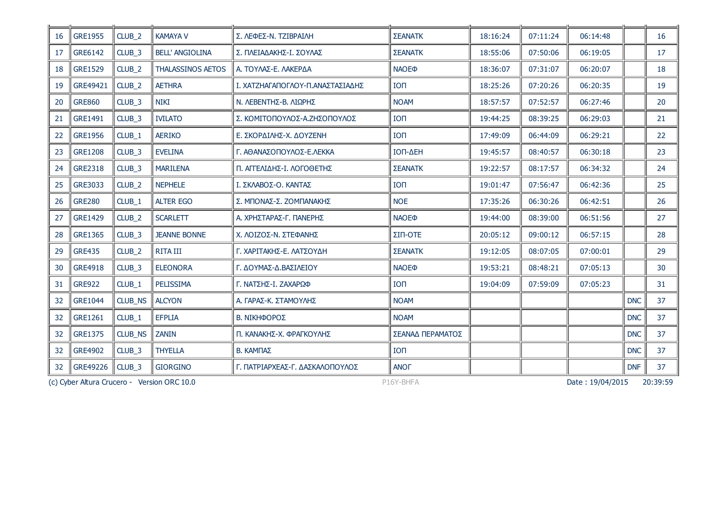| 16  | <b>GRE1955</b> | CLUB_2            | <b>KAMAYA V</b>                             | Σ. ΛΕΦΕΣ-Ν. ΤΖΙΒΡΑΙΛΗ            | <b>ΣΕΑΝΑΤΚ</b>   | 18:16:24 | 07:11:24 | 06:14:48         |            | 16       |
|-----|----------------|-------------------|---------------------------------------------|----------------------------------|------------------|----------|----------|------------------|------------|----------|
| 17  | GRE6142        | CLUB <sub>3</sub> | <b>BELL' ANGIOLINA</b>                      | Σ. ΠΛΕΙΑΔΑΚΗΣ-Ι. ΣΟΥΛΑΣ          | <b>ΣΕΑΝΑΤΚ</b>   | 18:55:06 | 07:50:06 | 06:19:05         |            | 17       |
| 18  | <b>GRE1529</b> | CLUB <sub>2</sub> | <b>THALASSINOS AETOS</b>                    | Α. ΤΟΥΛΑΣ-Ε. ΛΑΚΕΡΔΑ             | <b>NAOE®</b>     | 18:36:07 | 07:31:07 | 06:20:07         |            | 18       |
| 19  | GRE49421       | CLUB_2            | <b>AETHRA</b>                               | Ι. ΧΑΤΖΗΑΓΑΠΟΓΛΟΥ-Π.ΑΝΑΣΤΑΣΙΑΔΗΣ | <b>TON</b>       | 18:25:26 | 07:20:26 | 06:20:35         |            | 19       |
| -20 | <b>GRE860</b>  | CLUB <sub>3</sub> | NIKI                                        | Ν. ΛΕΒΕΝΤΗΣ-Β. ΛΙΩΡΗΣ            | <b>NOAM</b>      | 18:57:57 | 07:52:57 | 06:27:46         |            | 20       |
| 21  | <b>GRE1491</b> | CLUB <sub>3</sub> | <b>IVILATO</b>                              | Σ. ΚΟΜΙΤΟΠΟΥΛΟΣ-Α.ΖΗΣΟΠΟΥΛΟΣ     | <b>ION</b>       | 19:44:25 | 08:39:25 | 06:29:03         |            | 21       |
| 22  | <b>GRE1956</b> | CLUB <sub>1</sub> | <b>AERIKO</b>                               | Ε. ΣΚΟΡΔΙΛΗΣ-Χ. ΔΟΥΖΕΝΗ          | <b>ION</b>       | 17:49:09 | 06:44:09 | 06:29:21         |            | 22       |
| -23 | <b>GRE1208</b> | CLUB <sub>3</sub> | <b>EVELINA</b>                              | Γ. ΑΘΑΝΑΣΟΠΟΥΛΟΣ-Ε.ΛΕΚΚΑ         | ΙΟΠ-ΔΕΗ          | 19:45:57 | 08:40:57 | 06:30:18         |            | 23       |
| 24  | <b>GRE2318</b> | CLUB <sub>3</sub> | <b>MARILENA</b>                             | Π. ΑΓΓΕΛΙΔΗΣ-Ι. ΛΟΓΟΘΕΤΗΣ        | <b>ΣΕΑΝΑΤΚ</b>   | 19:22:57 | 08:17:57 | 06:34:32         |            | 24       |
| 25  | GRE3033        | CLUB <sub>2</sub> | <b>NEPHELE</b>                              | Ι. ΣΚΛΑΒΟΣ-Ο. ΚΑΝΤΑΣ             | <b>ION</b>       | 19:01:47 | 07:56:47 | 06:42:36         |            | 25       |
| 26  | <b>GRE280</b>  | CLUB <sub>1</sub> | <b>ALTER EGO</b>                            | Σ. ΜΠΟΝΑΣ-Σ. ΖΟΜΠΑΝΑΚΗΣ          | <b>NOE</b>       | 17:35:26 | 06:30:26 | 06:42:51         |            | 26       |
| 27  | <b>GRE1429</b> | CLUB <sub>2</sub> | <b>SCARLETT</b>                             | Α. ΧΡΗΣΤΑΡΑΣ-Γ. ΠΑΝΕΡΗΣ          | <b>NAOE®</b>     | 19:44:00 | 08:39:00 | 06:51:56         |            | 27       |
| -28 | <b>GRE1365</b> | CLUB_3            | <b>JEANNE BONNE</b>                         | Χ. ΛΟΙΖΟΣ-Ν. ΣΤΕΦΑΝΗΣ            | ΣΙΠ-ΟΤΕ          | 20:05:12 | 09:00:12 | 06:57:15         |            | 28       |
| 29  | <b>GRE435</b>  | $CLUB_2$          | <b>RITA III</b>                             | Γ. ΧΑΡΙΤΑΚΗΣ-Ε. ΛΑΤΣΟΥΔΗ         | <b>ΣΕΑΝΑΤΚ</b>   | 19:12:05 | 08:07:05 | 07:00:01         |            | 29       |
| 30  | <b>GRE4918</b> | CLUB <sub>3</sub> | <b>ELEONORA</b>                             | Γ. ΔΟΥΜΑΣ-Δ.ΒΑΣΙΛΕΙΟΥ            | <b>NAOEO</b>     | 19:53:21 | 08:48:21 | 07:05:13         |            | 30       |
| 31  | <b>GRE922</b>  | CLUB_1            | PELISSIMA                                   | Γ. ΝΑΤΣΗΣ-Ι. ΖΑΧΑΡΩΦ             | <b>ION</b>       | 19:04:09 | 07:59:09 | 07:05:23         |            | 31       |
| 32  | <b>GRE1044</b> | CLUB_NS           | <b>ALCYON</b>                               | Α. ΓΑΡΑΣ-Κ. ΣΤΑΜΟΥΛΗΣ            | <b>NOAM</b>      |          |          |                  | <b>DNC</b> | 37       |
| 32  | <b>GRE1261</b> | CLUB_1            | <b>EFPLIA</b>                               | Β. ΝΙΚΗΦΟΡΟΣ                     | <b>NOAM</b>      |          |          |                  | <b>DNC</b> | 37       |
| 32  | <b>GRE1375</b> | CLUB_NS           | <b>ZANIN</b>                                | Π. ΚΑΝΑΚΗΣ-Χ. ΦΡΑΓΚΟΥΛΗΣ         | ΣΕΑΝΑΔ ΠΕΡΑΜΑΤΟΣ |          |          |                  | <b>DNC</b> | 37       |
| 32  | <b>GRE4902</b> | CLUB <sub>3</sub> | <b>THYELLA</b>                              | В. КАМПАΣ                        | <b>ION</b>       |          |          |                  | <b>DNC</b> | 37       |
| 32  | GRE49226       | CLUB_3            | <b>GIORGINO</b>                             | Γ. ΠΑΤΡΙΑΡΧΕΑΣ-Γ. ΔΑΣΚΑΛΟΠΟΥΛΟΣ  | <b>ANOF</b>      |          |          |                  | <b>DNF</b> | 37       |
|     |                |                   | (c) Cyber Altura Crucero - Version ORC 10.0 |                                  | P16Y-BHFA        |          |          | Date: 19/04/2015 |            | 20:39:59 |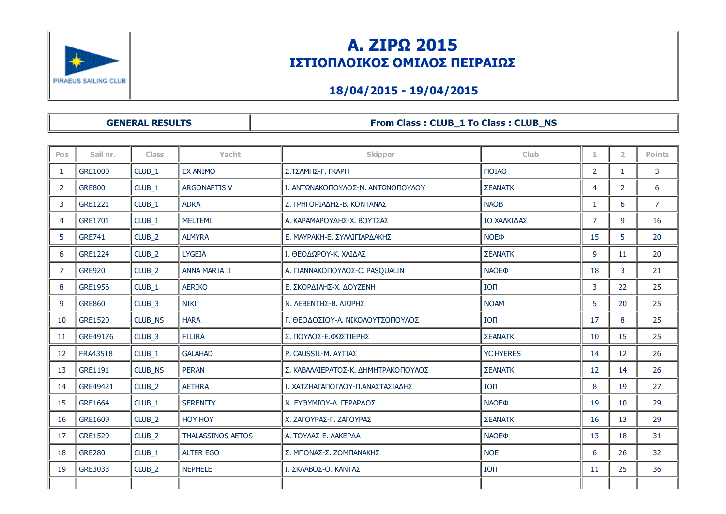

# Α. ΖΙΡΩ 2015 ΙΣΤΙΟΠΛΟΙΚΟΣ ΟΜΙΛΟΣ ΠΕΙΡΑΙΩΣ

### 18/04/2015 19/04/2015

| <b>GENERAL RESULTS</b> |  |
|------------------------|--|
|------------------------|--|

#### GENERAL RESULTS From Class : CLUB\_1 To Class : CLUB\_NS

| <b>Pos</b>     | Sail nr.       | <b>Class</b>      | Yacht                    | <b>Skipper</b>                      | Club                    | 1.             | $\overline{2}$ | <b>Points</b>  |
|----------------|----------------|-------------------|--------------------------|-------------------------------------|-------------------------|----------------|----------------|----------------|
|                | <b>GRE1000</b> | CLUB_1            | <b>EX ANIMO</b>          | Σ.ΤΣΑΜΗΣ-Γ. ΓΚΑΡΗ                   | ΠΟΙΑΘ                   | $\overline{2}$ | $\mathbf{1}$   | $\mathbf{3}$   |
| $\overline{2}$ | <b>GRE800</b>  | CLUB_1            | <b>ARGONAFTIS V</b>      | Ι. ΑΝΤΩΝΑΚΟΠΟΥΛΟΣ-Ν. ΑΝΤΩΝΟΠΟΥΛΟΥ   | ΣΕΑΝΑΤΚ                 | 4              | $\overline{2}$ | 6              |
| 3              | GRE1221        | CLUB_1            | <b>ADRA</b>              | Ζ. ΓΡΗΓΟΡΙΑΔΗΣ-Β. ΚΟΝΤΑΝΑΣ          | <b>NAOB</b>             | 1              | 6              | $\overline{7}$ |
| 4              | GRE1701        | CLUB_1            | <b>MELTEMI</b>           | Α. ΚΑΡΑΜΑΡΟΥΔΗΣ-Χ. ΒΟΥΤΣΑΣ          | ΙΟ ΧΑΛΚΙΔΑΣ             | $\overline{7}$ | 9              | 16             |
| 5              | <b>GRE741</b>  | CLUB <sub>2</sub> | <b>ALMYRA</b>            | Ε. ΜΑΥΡΑΚΗ-Ε. ΣΥΛΛΙΓΙΑΡΔΑΚΗΣ        | <b>NOE</b> <sup></sup>  | 15             | 5              | 20             |
| 6              | <b>GRE1224</b> | CLUB_2            | <b>LYGEIA</b>            | Ι. ΘΕΟΔΩΡΟΥ-Κ. ΧΑΙΔΑΣ               | ΣΕΑΝΑΤΚ                 | 9              | 11             | 20             |
| 7              | <b>GRE920</b>  | CLUB_2            | <b>ANNA MARIA II</b>     | Α. ΓΙΑΝΝΑΚΟΠΟΥΛΟΣ-C. PASQUALIN      | <b>NAOE</b> <sup></sup> | 18             | 3              | 21             |
| 8              | <b>GRE1956</b> | CLUB_1            | <b>AERIKO</b>            | Ε. ΣΚΟΡΔΙΛΗΣ-Χ. ΔΟΥΖΕΝΗ             | <b>ION</b>              | 3              | 22             | 25             |
| 9              | <b>GRE860</b>  | CLUB_3            | <b>NIKI</b>              | Ν. ΛΕΒΕΝΤΗΣ-Β. ΛΙΩΡΗΣ               | <b>NOAM</b>             | 5              | 20             | 25             |
| 10             | <b>GRE1520</b> | CLUB_NS           | <b>HARA</b>              | Γ. ΘΕΟΔΟΣΙΟΥ-Α. ΝΙΚΟΛΟΥΤΣΟΠΟΥΛΟΣ    | <b>ION</b>              | 17             | 8              | 25             |
| 11             | GRE49176       | CLUB <sub>3</sub> | <b>FILIRA</b>            | Σ. ΠΟΥΛΟΣ-Ε.ΦΩΣΤΙΕΡΗΣ               | ΣΕΑΝΑΤΚ                 | 10             | 15             | 25             |
| 12             | FRA43518       | CLUB_1            | <b>GALAHAD</b>           | P. CAUSSIL-M. AYTIAZ                | <b>YC HYERES</b>        | 14             | 12             | 26             |
| 13             | GRE1191        | CLUB NS           | <b>PERAN</b>             | Σ. ΚΑΒΑΛΛΙΕΡΑΤΟΣ-Κ. ΔΗΜΗΤΡΑΚΟΠΟΥΛΟΣ | ΣΕΑΝΑΤΚ                 | 12             | 14             | 26             |
| 14             | GRE49421       | CLUB <sub>2</sub> | <b>AETHRA</b>            | Ι. ΧΑΤΖΗΑΓΑΠΟΓΛΟΥ-Π.ΑΝΑΣΤΑΣΙΑΔΗΣ    | <b>ION</b>              | 8              | 19             | 27             |
| 15             | <b>GRE1664</b> | CLUB_1            | <b>SERENITY</b>          | Ν. ΕΥΘΥΜΙΟΥ-Λ. ΓΕΡΑΡΔΟΣ             | <b>NAOE</b> <sup></sup> | 19             | 10             | 29             |
| 16             | GRE1609        | CLUB_2            | <b>HOY HOY</b>           | Χ. ΖΑΓΟΥΡΑΣ-Γ. ΖΑΓΟΥΡΑΣ             | ΣΕΑΝΑΤΚ                 | 16             | 13             | 29             |
| 17             | <b>GRE1529</b> | CLUB_2            | <b>THALASSINOS AETOS</b> | Α. ΤΟΥΛΑΣ-Ε. ΛΑΚΕΡΔΑ                | <b>NAOE</b> <sup></sup> | 13             | 18             | 31             |
| 18             | <b>GRE280</b>  | CLUB <sub>1</sub> | <b>ALTER EGO</b>         | Σ. ΜΠΟΝΑΣ-Σ. ΖΟΜΠΑΝΑΚΗΣ             | <b>NOE</b>              | 6              | 26             | 32             |
| 19             | GRE3033        | CLUB <sub>2</sub> | <b>NEPHELE</b>           | Ι. ΣΚΛΑΒΟΣ-Ο. ΚΑΝΤΑΣ                | <b>ION</b>              | 11             | 25             | 36             |
|                |                |                   |                          |                                     |                         |                |                |                |